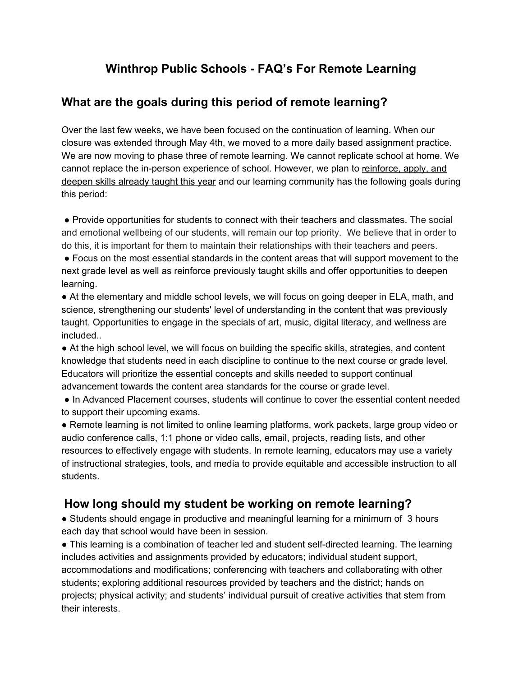## **Winthrop Public Schools - FAQ's For Remote Learning**

## **What are the goals during this period of remote learning?**

Over the last few weeks, we have been focused on the continuation of learning. When our closure was extended through May 4th, we moved to a more daily based assignment practice. We are now moving to phase three of remote learning. We cannot replicate school at home. We cannot replace the in-person experience of school. However, we plan to reinforce, apply, and deepen skills already taught this year and our learning community has the following goals during this period:

● Provide opportunities for students to connect with their teachers and classmates. The social and emotional wellbeing of our students, will remain our top priority. We believe that in order to do this, it is important for them to maintain their relationships with their teachers and peers.

● Focus on the most essential standards in the content areas that will support movement to the next grade level as well as reinforce previously taught skills and offer opportunities to deepen learning.

• At the elementary and middle school levels, we will focus on going deeper in ELA, math, and science, strengthening our students' level of understanding in the content that was previously taught. Opportunities to engage in the specials of art, music, digital literacy, and wellness are included..

● At the high school level, we will focus on building the specific skills, strategies, and content knowledge that students need in each discipline to continue to the next course or grade level. Educators will prioritize the essential concepts and skills needed to support continual advancement towards the content area standards for the course or grade level.

● In Advanced Placement courses, students will continue to cover the essential content needed to support their upcoming exams.

● Remote learning is not limited to online learning platforms, work packets, large group video or audio conference calls, 1:1 phone or video calls, email, projects, reading lists, and other resources to effectively engage with students. In remote learning, educators may use a variety of instructional strategies, tools, and media to provide equitable and accessible instruction to all students.

## **How long should my student be working on remote learning?**

• Students should engage in productive and meaningful learning for a minimum of 3 hours each day that school would have been in session.

● This learning is a combination of teacher led and student self-directed learning. The learning includes activities and assignments provided by educators; individual student support, accommodations and modifications; conferencing with teachers and collaborating with other students; exploring additional resources provided by teachers and the district; hands on projects; physical activity; and students' individual pursuit of creative activities that stem from their interests.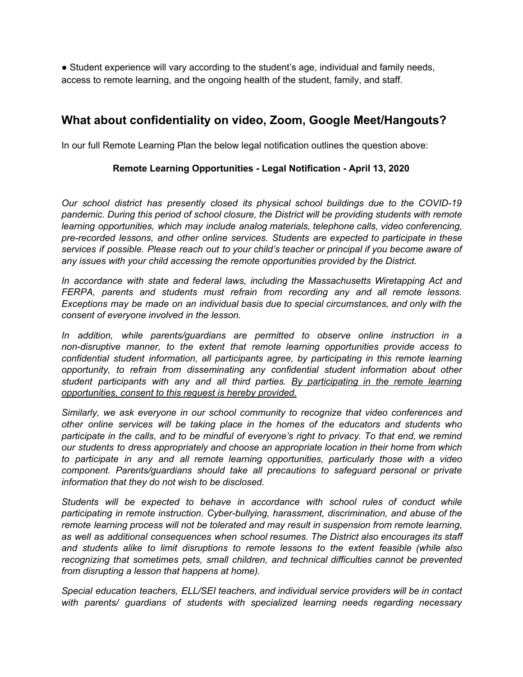● Student experience will vary according to the student's age, individual and family needs, access to remote learning, and the ongoing health of the student, family, and staff.

## **What about confidentiality on video, Zoom, Google Meet/Hangouts?**

In our full Remote Learning Plan the below legal notification outlines the question above:

#### **Remote Learning Opportunities - Legal Notification - April 13, 2020**

*Our school district has presently closed its physical school buildings due to the COVID-19 pandemic. During this period of school closure, the District will be providing students with remote learning opportunities, which may include analog materials, telephone calls, video conferencing, pre-recorded lessons, and other online services. Students are expected to participate in these services if possible. Please reach out to your child's teacher or principal if you become aware of any issues with your child accessing the remote opportunities provided by the District.*

*In accordance with state and federal laws, including the Massachusetts Wiretapping Act and FERPA, parents and students must refrain from recording any and all remote lessons. Exceptions may be made on an individual basis due to special circumstances, and only with the consent of everyone involved in the lesson.*

*In addition, while parents/guardians are permitted to observe online instruction in a non-disruptive manner, to the extent that remote learning opportunities provide access to confidential student information, all participants agree, by participating in this remote learning opportunity, to refrain from disseminating any confidential student information about other student participants with any and all third parties. By participating in the remote learning opportunities, consent to this request is hereby provided.*

*Similarly, we ask everyone in our school community to recognize that video conferences and other online services will be taking place in the homes of the educators and students who participate in the calls, and to be mindful of everyone's right to privacy. To that end, we remind our students to dress appropriately and choose an appropriate location in their home from which to participate in any and all remote learning opportunities, particularly those with a video component. Parents/guardians should take all precautions to safeguard personal or private information that they do not wish to be disclosed.*

*Students will be expected to behave in accordance with school rules of conduct while participating in remote instruction. Cyber-bullying, harassment, discrimination, and abuse of the remote learning process will not be tolerated and may result in suspension from remote learning, as well as additional consequences when school resumes. The District also encourages its staff and students alike to limit disruptions to remote lessons to the extent feasible (while also recognizing that sometimes pets, small children, and technical difficulties cannot be prevented from disrupting a lesson that happens at home).*

*Special education teachers, ELL/SEI teachers, and individual service providers will be in contact with parents/ guardians of students with specialized learning needs regarding necessary*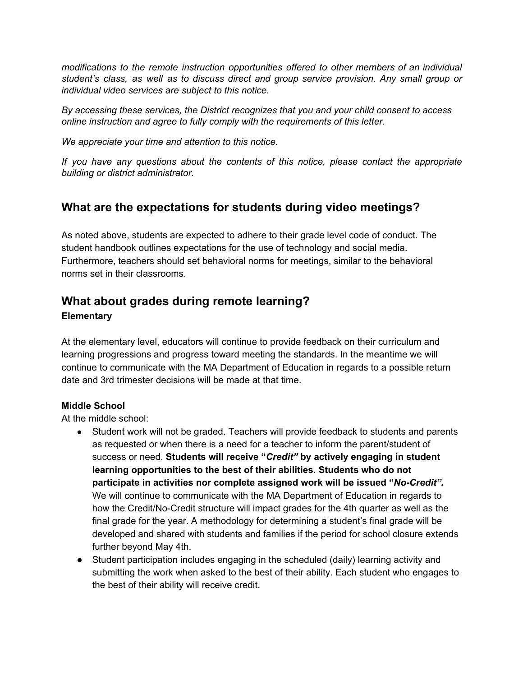*modifications to the remote instruction opportunities offered to other members of an individual student's class, as well as to discuss direct and group service provision. Any small group or individual video services are subject to this notice.*

*By accessing these services, the District recognizes that you and your child consent to access online instruction and agree to fully comply with the requirements of this letter.*

*We appreciate your time and attention to this notice.*

*If you have any questions about the contents of this notice, please contact the appropriate building or district administrator.*

## **What are the expectations for students during video meetings?**

As noted above, students are expected to adhere to their grade level code of conduct. The student handbook outlines expectations for the use of technology and social media. Furthermore, teachers should set behavioral norms for meetings, similar to the behavioral norms set in their classrooms.

# **What about grades during remote learning?**

#### **Elementary**

At the elementary level, educators will continue to provide feedback on their curriculum and learning progressions and progress toward meeting the standards. In the meantime we will continue to communicate with the MA Department of Education in regards to a possible return date and 3rd trimester decisions will be made at that time.

### **Middle School**

At the middle school:

- **●** Student work will not be graded. Teachers will provide feedback to students and parents as requested or when there is a need for a teacher to inform the parent/student of success or need. **Students will receive "***Credit"* **by actively engaging in student learning opportunities to the best of their abilities. Students who do not participate in activities nor complete assigned work will be issued "***No-Credit".* We will continue to communicate with the MA Department of Education in regards to how the Credit/No-Credit structure will impact grades for the 4th quarter as well as the final grade for the year. A methodology for determining a student's final grade will be developed and shared with students and families if the period for school closure extends further beyond May 4th.
- Student participation includes engaging in the scheduled (daily) learning activity and submitting the work when asked to the best of their ability. Each student who engages to the best of their ability will receive credit.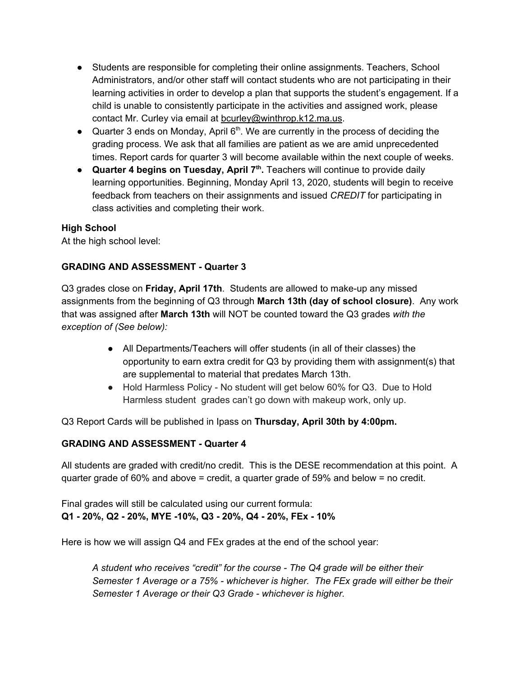- Students are responsible for completing their online assignments. Teachers, School Administrators, and/or other staff will contact students who are not participating in their learning activities in order to develop a plan that supports the student's engagement. If a child is unable to consistently participate in the activities and assigned work, please contact Mr. Curley via email at [bcurley@winthrop.k12.ma.us](mailto:bcurley@winthrop.k12.ma.us).
- Quarter 3 ends on Monday, April  $6<sup>th</sup>$ . We are currently in the process of deciding the grading process. We ask that all families are patient as we are amid unprecedented times. Report cards for quarter 3 will become available within the next couple of weeks.
- **Quarter 4 begins on Tuesday, April 7 th .** Teachers will continue to provide daily learning opportunities. Beginning, Monday April 13, 2020, students will begin to receive feedback from teachers on their assignments and issued *CREDIT* for participating in class activities and completing their work.

At the high school level:

### **GRADING AND ASSESSMENT - Quarter 3**

Q3 grades close on **Friday, April 17th**. Students are allowed to make-up any missed assignments from the beginning of Q3 through **March 13th (day of school closure)**. Any work that was assigned after **March 13th** will NOT be counted toward the Q3 grades *with the exception of (See below):*

- All Departments/Teachers will offer students (in all of their classes) the opportunity to earn extra credit for Q3 by providing them with assignment(s) that are supplemental to material that predates March 13th.
- Hold Harmless Policy No student will get below 60% for Q3. Due to Hold Harmless student grades can't go down with makeup work, only up.

Q3 Report Cards will be published in Ipass on **Thursday, April 30th by 4:00pm.**

#### **GRADING AND ASSESSMENT - Quarter 4**

All students are graded with credit/no credit. This is the DESE recommendation at this point. A quarter grade of 60% and above = credit, a quarter grade of 59% and below = no credit.

Final grades will still be calculated using our current formula: **Q1 - 20%, Q2 - 20%, MYE -10%, Q3 - 20%, Q4 - 20%, FEx - 10%**

Here is how we will assign Q4 and FEx grades at the end of the school year:

*A student who receives "credit" for the course - The Q4 grade will be either their Semester 1 Average or a 75% - whichever is higher. The FEx grade will either be their Semester 1 Average or their Q3 Grade - whichever is higher.*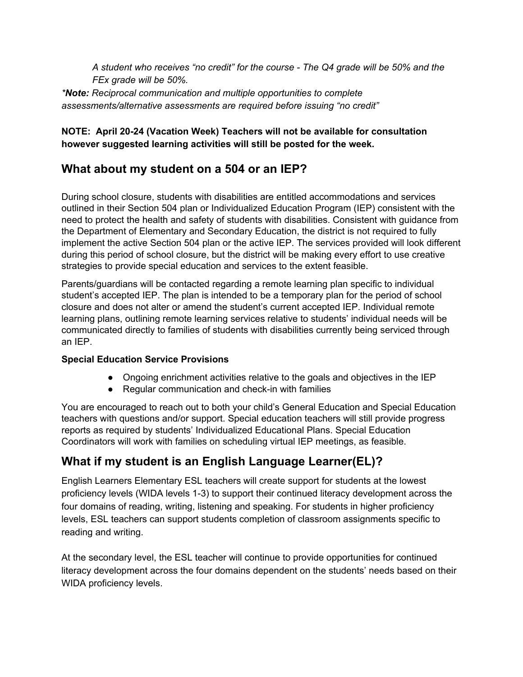*A student who receives "no credit" for the course - The Q4 grade will be 50% and the FEx grade will be 50%.*

*\*Note: Reciprocal communication and multiple opportunities to complete assessments/alternative assessments are required before issuing "no credit"*

### **NOTE: April 20-24 (Vacation Week) Teachers will not be available for consultation however suggested learning activities will still be posted for the week.**

## **What about my student on a 504 or an IEP?**

During school closure, students with disabilities are entitled accommodations and services outlined in their Section 504 plan or Individualized Education Program (IEP) consistent with the need to protect the health and safety of students with disabilities. Consistent with guidance from the Department of Elementary and Secondary Education, the district is not required to fully implement the active Section 504 plan or the active IEP. The services provided will look different during this period of school closure, but the district will be making every effort to use creative strategies to provide special education and services to the extent feasible.

Parents/guardians will be contacted regarding a remote learning plan specific to individual student's accepted IEP. The plan is intended to be a temporary plan for the period of school closure and does not alter or amend the student's current accepted IEP. Individual remote learning plans, outlining remote learning services relative to students' individual needs will be communicated directly to families of students with disabilities currently being serviced through an IEP.

### **Special Education Service Provisions**

- Ongoing enrichment activities relative to the goals and objectives in the IEP
- Regular communication and check-in with families

You are encouraged to reach out to both your child's General Education and Special Education teachers with questions and/or support. Special education teachers will still provide progress reports as required by students' Individualized Educational Plans. Special Education Coordinators will work with families on scheduling virtual IEP meetings, as feasible.

# **What if my student is an English Language Learner(EL)?**

English Learners Elementary ESL teachers will create support for students at the lowest proficiency levels (WIDA levels 1-3) to support their continued literacy development across the four domains of reading, writing, listening and speaking. For students in higher proficiency levels, ESL teachers can support students completion of classroom assignments specific to reading and writing.

At the secondary level, the ESL teacher will continue to provide opportunities for continued literacy development across the four domains dependent on the students' needs based on their WIDA proficiency levels.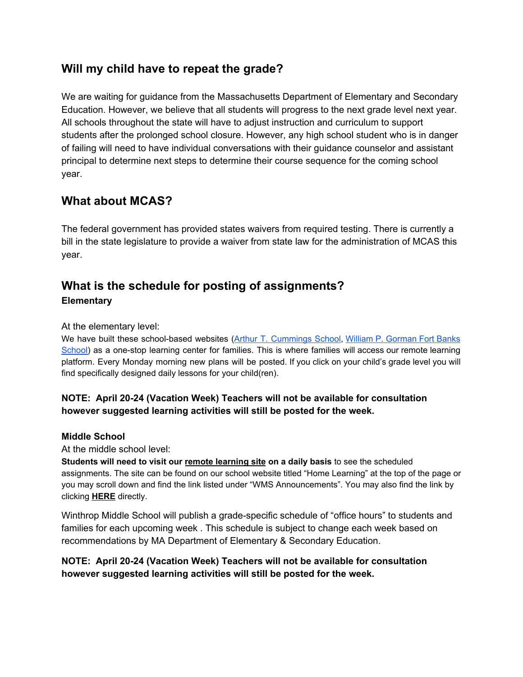## **Will my child have to repeat the grade?**

We are waiting for guidance from the Massachusetts Department of Elementary and Secondary Education. However, we believe that all students will progress to the next grade level next year. All schools throughout the state will have to adjust instruction and curriculum to support students after the prolonged school closure. However, any high school student who is in danger of failing will need to have individual conversations with their guidance counselor and assistant principal to determine next steps to determine their course sequence for the coming school year.

### **What about MCAS?**

The federal government has provided states waivers from required testing. There is currently a bill in the state legislature to provide a waiver from state law for the administration of MCAS this year.

## **What is the schedule for posting of assignments? Elementary**

At the elementary level:

We have built these school-based websites (Arthur T. [Cummings](https://sites.google.com/winthrop.k12.ma.us/atclearningopportunities/home) School, William P. [Gorman](https://www.winthrop.k12.ma.us/site/default.aspx?PageType=3&DomainID=417&ModuleInstanceID=1994&ViewID=6446EE88-D30C-497E-9316-3F8874B3E108&RenderLoc=0&FlexDataID=10775&PageID=1083) Fort Banks [School\)](https://www.winthrop.k12.ma.us/site/default.aspx?PageType=3&DomainID=417&ModuleInstanceID=1994&ViewID=6446EE88-D30C-497E-9316-3F8874B3E108&RenderLoc=0&FlexDataID=10775&PageID=1083) as a one-stop learning center for families. This is where families will access our remote learning platform. Every Monday morning new plans will be posted. If you click on your child's grade level you will find specifically designed daily lessons for your child(ren).

### **NOTE: April 20-24 (Vacation Week) Teachers will not be available for consultation however suggested learning activities will still be posted for the week.**

#### **Middle School**

At the middle school level:

**Students will need to visit our [r](https://www.winthrop.k12.ma.us/Domain/287)emote [learning](https://www.winthrop.k12.ma.us/Domain/287) site on a daily basis** to see the scheduled assignments. The site can be found on our school website titled "Home Learning" at the top of the page or you may scroll down and find the link listed under "WMS Announcements". You may also find the link by clicking **[HERE](https://sites.google.com/winthrop.k12.ma.us/wms-learning-opportunities/home)** directly.

Winthrop Middle School will publish a grade-specific schedule of "office hours" to students and families for each upcoming week . This schedule is subject to change each week based on recommendations by MA Department of Elementary & Secondary Education.

### **NOTE: April 20-24 (Vacation Week) Teachers will not be available for consultation however suggested learning activities will still be posted for the week.**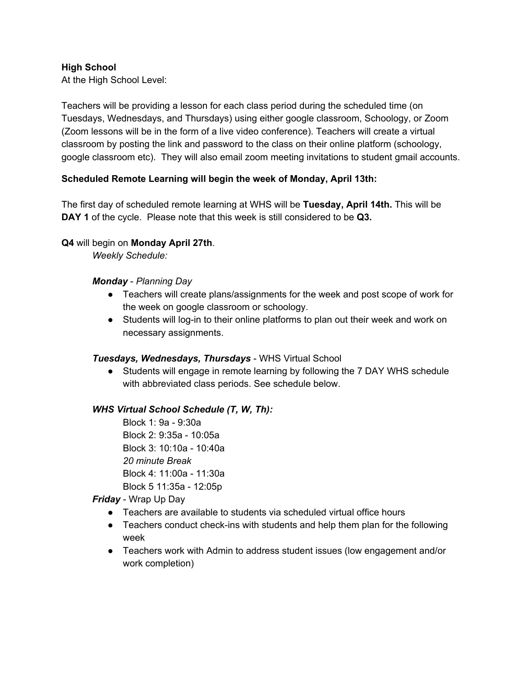At the High School Level:

Teachers will be providing a lesson for each class period during the scheduled time (on Tuesdays, Wednesdays, and Thursdays) using either google classroom, Schoology, or Zoom (Zoom lessons will be in the form of a live video conference). Teachers will create a virtual classroom by posting the link and password to the class on their online platform (schoology, google classroom etc). They will also email zoom meeting invitations to student gmail accounts.

#### **Scheduled Remote Learning will begin the week of Monday, April 13th:**

The first day of scheduled remote learning at WHS will be **Tuesday, April 14th.** This will be **DAY 1** of the cycle. Please note that this week is still considered to be **Q3.**

#### **Q4** will begin on **Monday April 27th**.

*Weekly Schedule:*

#### *Monday* - *Planning Day*

- Teachers will create plans/assignments for the week and post scope of work for the week on google classroom or schoology.
- Students will log-in to their online platforms to plan out their week and work on necessary assignments.

#### *Tuesdays, Wednesdays, Thursdays* - WHS Virtual School

● Students will engage in remote learning by following the 7 DAY WHS schedule with abbreviated class periods. See schedule below.

#### *WHS Virtual School Schedule (T, W, Th):*

Block 1: 9a - 9:30a Block 2: 9:35a - 10:05a Block 3: 10:10a - 10:40a *20 minute Break* Block 4: 11:00a - 11:30a Block 5 11:35a - 12:05p

#### *Friday* - Wrap Up Day

- Teachers are available to students via scheduled virtual office hours
- Teachers conduct check-ins with students and help them plan for the following week
- Teachers work with Admin to address student issues (low engagement and/or work completion)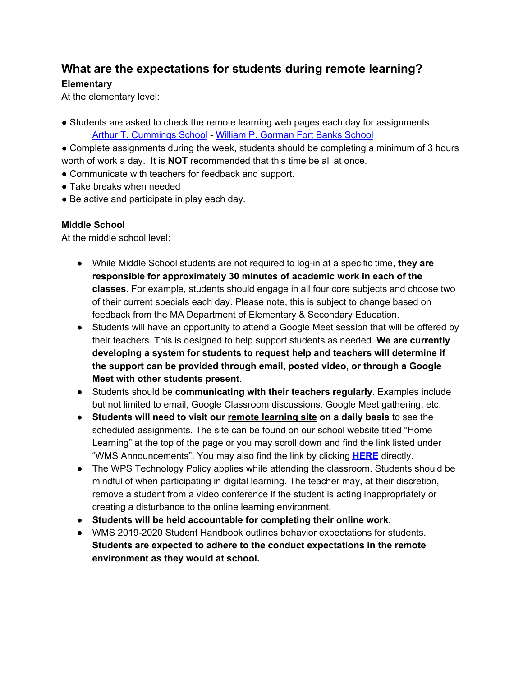## **What are the expectations for students during remote learning?**

### **Elementary**

At the elementary level:

• Students are asked to check the remote learning web pages each day for assignments. Arthur T. [Cummings](https://sites.google.com/winthrop.k12.ma.us/atclearningopportunities/home) School - William P. [Gorman](https://sites.google.com/winthrop.k12.ma.us/wpghomelearning/home) Fort Banks Schoo[l](https://sites.google.com/winthrop.k12.ma.us/wpghomelearning/home)

• Complete assignments during the week, students should be completing a minimum of 3 hours worth of work a day. It is **NOT** recommended that this time be all at once.

- Communicate with teachers for feedback and support.
- Take breaks when needed
- Be active and participate in play each day.

### **Middle School**

At the middle school level:

- While Middle School students are not required to log-in at a specific time, **they are responsible for approximately 30 minutes of academic work in each of the classes**. For example, students should engage in all four core subjects and choose two of their current specials each day. Please note, this is subject to change based on feedback from the MA Department of Elementary & Secondary Education.
- Students will have an opportunity to attend a Google Meet session that will be offered by their teachers. This is designed to help support students as needed. **We are currently developing a system for students to request help and teachers will determine if the support can be provided through email, posted video, or through a Google Meet with other students present**.
- Students should be **communicating with their teachers regularly**. Examples include but not limited to email, Google Classroom discussions, Google Meet gathering, etc.
- **Students will need to visit our [r](https://www.winthrop.k12.ma.us/Domain/287)emote [learning](https://www.winthrop.k12.ma.us/Domain/287) site on a daily basis** to see the scheduled assignments. The site can be found on our school website titled "Home Learning" at the top of the page or you may scroll down and find the link listed under "WMS Announcements". You may also find the link by clicking **[HERE](https://sites.google.com/winthrop.k12.ma.us/wms-learning-opportunities/home)** directly.
- The WPS Technology Policy applies while attending the classroom. Students should be mindful of when participating in digital learning. The teacher may, at their discretion, remove a student from a video conference if the student is acting inappropriately or creating a disturbance to the online learning environment.
- **Students will be held accountable for completing their online work.**
- WMS 2019-2020 Student Handbook outlines behavior expectations for students. **Students are expected to adhere to the conduct expectations in the remote environment as they would at school.**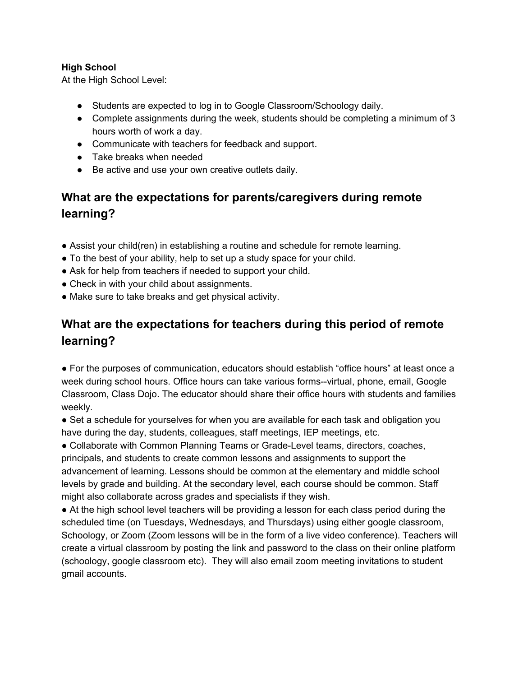At the High School Level:

- Students are expected to log in to Google Classroom/Schoology daily.
- Complete assignments during the week, students should be completing a minimum of 3 hours worth of work a day.
- Communicate with teachers for feedback and support.
- Take breaks when needed
- Be active and use your own creative outlets daily.

# **What are the expectations for parents/caregivers during remote learning?**

- Assist your child(ren) in establishing a routine and schedule for remote learning.
- To the best of your ability, help to set up a study space for your child.
- Ask for help from teachers if needed to support your child.
- Check in with your child about assignments.
- Make sure to take breaks and get physical activity.

# **What are the expectations for teachers during this period of remote learning?**

● For the purposes of communication, educators should establish "office hours" at least once a week during school hours. Office hours can take various forms--virtual, phone, email, Google Classroom, Class Dojo. The educator should share their office hours with students and families weekly.

• Set a schedule for yourselves for when you are available for each task and obligation you have during the day, students, colleagues, staff meetings, IEP meetings, etc.

● Collaborate with Common Planning Teams or Grade-Level teams, directors, coaches, principals, and students to create common lessons and assignments to support the advancement of learning. Lessons should be common at the elementary and middle school levels by grade and building. At the secondary level, each course should be common. Staff might also collaborate across grades and specialists if they wish.

• At the high school level teachers will be providing a lesson for each class period during the scheduled time (on Tuesdays, Wednesdays, and Thursdays) using either google classroom, Schoology, or Zoom (Zoom lessons will be in the form of a live video conference). Teachers will create a virtual classroom by posting the link and password to the class on their online platform (schoology, google classroom etc). They will also email zoom meeting invitations to student gmail accounts.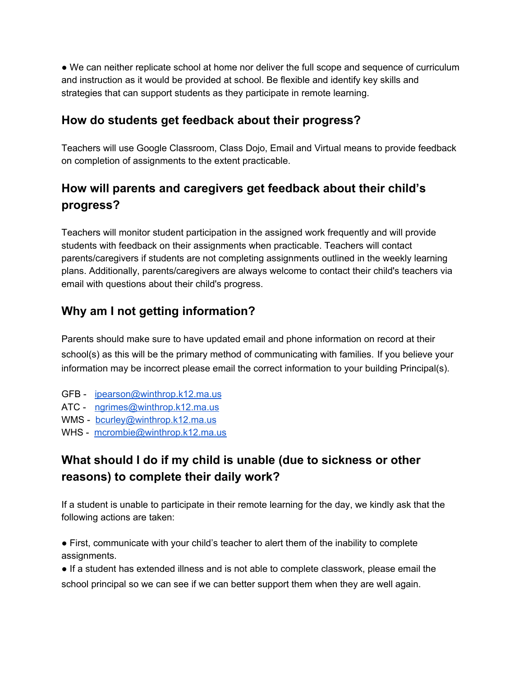• We can neither replicate school at home nor deliver the full scope and sequence of curriculum and instruction as it would be provided at school. Be flexible and identify key skills and strategies that can support students as they participate in remote learning.

## **How do students get feedback about their progress?**

Teachers will use Google Classroom, Class Dojo, Email and Virtual means to provide feedback on completion of assignments to the extent practicable.

# **How will parents and caregivers get feedback about their child's progress?**

Teachers will monitor student participation in the assigned work frequently and will provide students with feedback on their assignments when practicable. Teachers will contact parents/caregivers if students are not completing assignments outlined in the weekly learning plans. Additionally, parents/caregivers are always welcome to contact their child's teachers via email with questions about their child's progress.

## **Why am I not getting information?**

Parents should make sure to have updated email and phone information on record at their school(s) as this will be the primary method of communicating with families. If you believe your information may be incorrect please email the correct information to your building Principal(s).

- GFB [ipearson@winthrop.k12.ma.us](mailto:ipearson@winthrop.k12.ma.us)
- ATC [ngrimes@winthrop.k12.ma.us](mailto:ngrimes@winthrop.k12.ma.us)
- WMS [bcurley@winthrop.k12.ma.us](mailto:bcurley@winthrop.k12.ma.us)
- WHS [mcrombie@winthrop.k12.ma.us](mailto:mcrombie@winthrop.k12.ma.us)

# **What should I do if my child is unable (due to sickness or other reasons) to complete their daily work?**

If a student is unable to participate in their remote learning for the day, we kindly ask that the following actions are taken:

● First, communicate with your child's teacher to alert them of the inability to complete assignments.

● If a student has extended illness and is not able to complete classwork, please email the school principal so we can see if we can better support them when they are well again.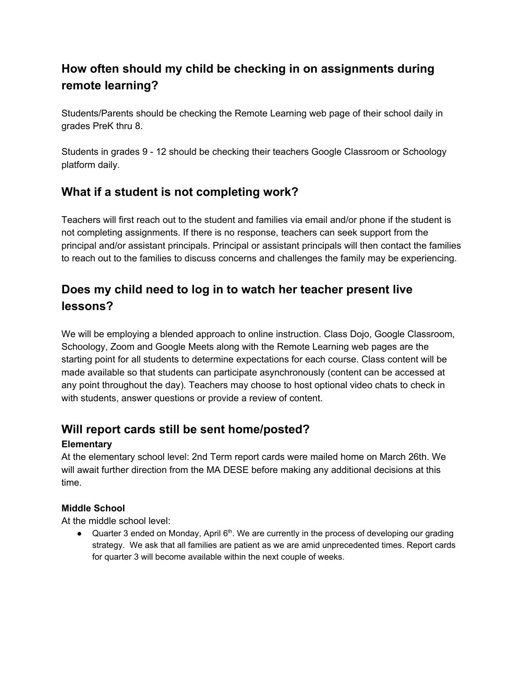# **How often should my child be checking in on assignments during remote learning?**

Students/Parents should be checking the Remote Learning web page of their school daily in grades PreK thru 8.

Students in grades 9 - 12 should be checking their teachers Google Classroom or Schoology platform daily.

## **What if a student is not completing work?**

Teachers will first reach out to the student and families via email and/or phone if the student is not completing assignments. If there is no response, teachers can seek support from the principal and/or assistant principals. Principal or assistant principals will then contact the families to reach out to the families to discuss concerns and challenges the family may be experiencing.

# **Does my child need to log in to watch her teacher present live lessons?**

We will be employing a blended approach to online instruction. Class Dojo, Google Classroom, Schoology, Zoom and Google Meets along with the Remote Learning web pages are the starting point for all students to determine expectations for each course. Class content will be made available so that students can participate asynchronously (content can be accessed at any point throughout the day). Teachers may choose to host optional video chats to check in with students, answer questions or provide a review of content.

## **Will report cards still be sent home/posted?**

### **Elementary**

At the elementary school level: 2nd Term report cards were mailed home on March 26th. We will await further direction from the MA DESE before making any additional decisions at this time.

### **Middle School**

At the middle school level:

 $\bullet$  Quarter 3 ended on Monday, April 6<sup>th</sup>. We are currently in the process of developing our grading strategy. We ask that all families are patient as we are amid unprecedented times. Report cards for quarter 3 will become available within the next couple of weeks.